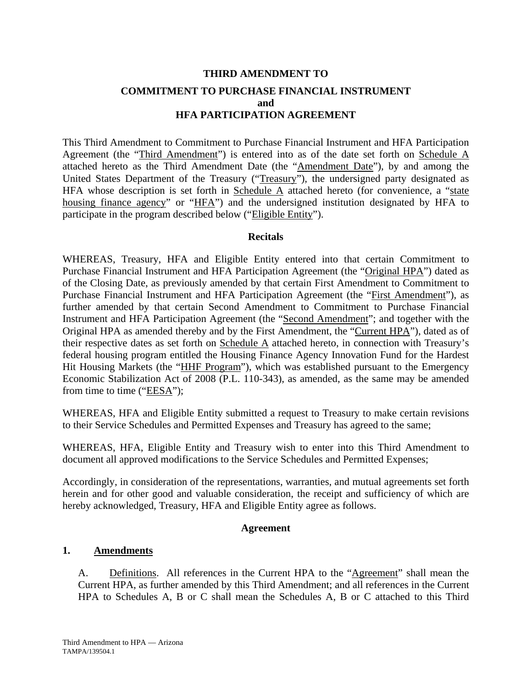# **THIRD AMENDMENT TO COMMITMENT TO PURCHASE FINANCIAL INSTRUMENT and HFA PARTICIPATION AGREEMENT**

This Third Amendment to Commitment to Purchase Financial Instrument and HFA Participation Agreement (the "Third Amendment") is entered into as of the date set forth on Schedule A attached hereto as the Third Amendment Date (the "Amendment Date"), by and among the United States Department of the Treasury ("Treasury"), the undersigned party designated as HFA whose description is set forth in Schedule  $\overline{A}$  attached hereto (for convenience, a "state housing finance agency" or "HFA") and the undersigned institution designated by HFA to participate in the program described below ("Eligible Entity").

#### **Recitals**

WHEREAS, Treasury, HFA and Eligible Entity entered into that certain Commitment to Purchase Financial Instrument and HFA Participation Agreement (the "Original HPA") dated as of the Closing Date, as previously amended by that certain First Amendment to Commitment to Purchase Financial Instrument and HFA Participation Agreement (the "First Amendment"), as further amended by that certain Second Amendment to Commitment to Purchase Financial Instrument and HFA Participation Agreement (the "Second Amendment"; and together with the Original HPA as amended thereby and by the First Amendment, the "Current HPA"), dated as of their respective dates as set forth on Schedule A attached hereto, in connection with Treasury's federal housing program entitled the Housing Finance Agency Innovation Fund for the Hardest Hit Housing Markets (the "HHF Program"), which was established pursuant to the Emergency Economic Stabilization Act of 2008 (P.L. 110-343), as amended, as the same may be amended from time to time (" $EESA$ ");

WHEREAS, HFA and Eligible Entity submitted a request to Treasury to make certain revisions to their Service Schedules and Permitted Expenses and Treasury has agreed to the same;

WHEREAS, HFA, Eligible Entity and Treasury wish to enter into this Third Amendment to document all approved modifications to the Service Schedules and Permitted Expenses;

Accordingly, in consideration of the representations, warranties, and mutual agreements set forth herein and for other good and valuable consideration, the receipt and sufficiency of which are hereby acknowledged, Treasury, HFA and Eligible Entity agree as follows.

#### **Agreement**

#### **1. Amendments**

A. Definitions. All references in the Current HPA to the "Agreement" shall mean the Current HPA, as further amended by this Third Amendment; and all references in the Current HPA to Schedules A, B or C shall mean the Schedules A, B or C attached to this Third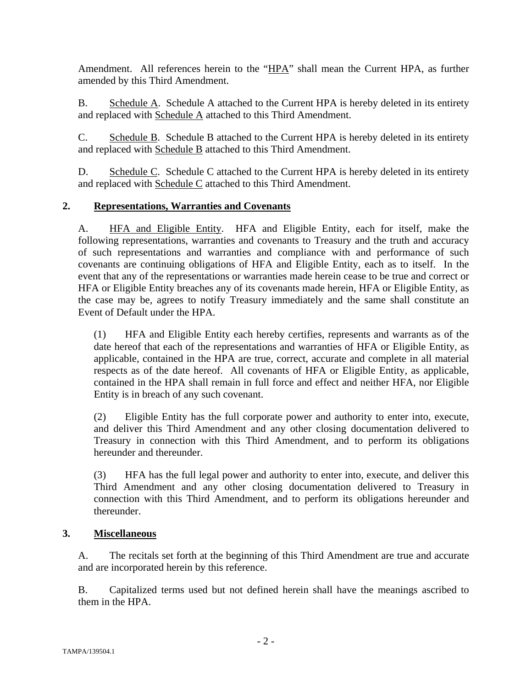Amendment. All references herein to the "HPA" shall mean the Current HPA, as further amended by this Third Amendment.

B. Schedule A. Schedule A attached to the Current HPA is hereby deleted in its entirety and replaced with Schedule A attached to this Third Amendment.

C. Schedule B. Schedule B attached to the Current HPA is hereby deleted in its entirety and replaced with Schedule B attached to this Third Amendment.

D. Schedule C. Schedule C attached to the Current HPA is hereby deleted in its entirety and replaced with Schedule C attached to this Third Amendment.

#### **2. Representations, Warranties and Covenants**

A. HFA and Eligible Entity. HFA and Eligible Entity, each for itself, make the following representations, warranties and covenants to Treasury and the truth and accuracy of such representations and warranties and compliance with and performance of such covenants are continuing obligations of HFA and Eligible Entity, each as to itself. In the event that any of the representations or warranties made herein cease to be true and correct or HFA or Eligible Entity breaches any of its covenants made herein, HFA or Eligible Entity, as the case may be, agrees to notify Treasury immediately and the same shall constitute an Event of Default under the HPA.

(1) HFA and Eligible Entity each hereby certifies, represents and warrants as of the date hereof that each of the representations and warranties of HFA or Eligible Entity, as applicable, contained in the HPA are true, correct, accurate and complete in all material respects as of the date hereof. All covenants of HFA or Eligible Entity, as applicable, contained in the HPA shall remain in full force and effect and neither HFA, nor Eligible Entity is in breach of any such covenant.

(2) Eligible Entity has the full corporate power and authority to enter into, execute, and deliver this Third Amendment and any other closing documentation delivered to Treasury in connection with this Third Amendment, and to perform its obligations hereunder and thereunder.

(3) HFA has the full legal power and authority to enter into, execute, and deliver this Third Amendment and any other closing documentation delivered to Treasury in connection with this Third Amendment, and to perform its obligations hereunder and thereunder.

#### **3. Miscellaneous**

A. The recitals set forth at the beginning of this Third Amendment are true and accurate and are incorporated herein by this reference.

B. Capitalized terms used but not defined herein shall have the meanings ascribed to them in the HPA.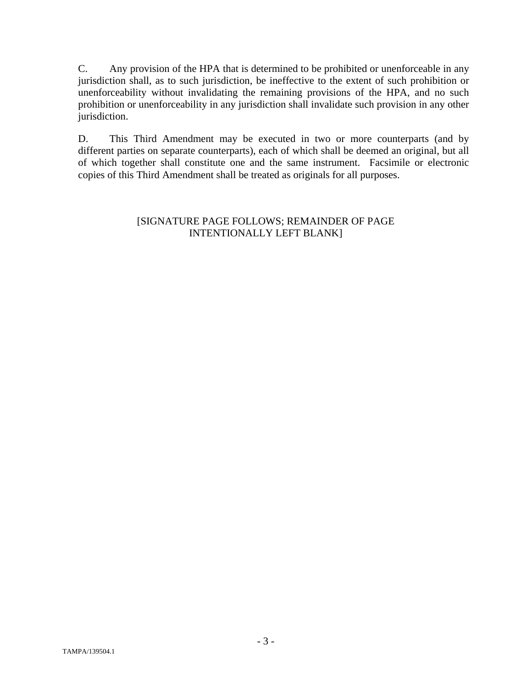C. Any provision of the HPA that is determined to be prohibited or unenforceable in any jurisdiction shall, as to such jurisdiction, be ineffective to the extent of such prohibition or unenforceability without invalidating the remaining provisions of the HPA, and no such prohibition or unenforceability in any jurisdiction shall invalidate such provision in any other jurisdiction.

D. This Third Amendment may be executed in two or more counterparts (and by different parties on separate counterparts), each of which shall be deemed an original, but all of which together shall constitute one and the same instrument. Facsimile or electronic copies of this Third Amendment shall be treated as originals for all purposes.

### [SIGNATURE PAGE FOLLOWS; REMAINDER OF PAGE INTENTIONALLY LEFT BLANK]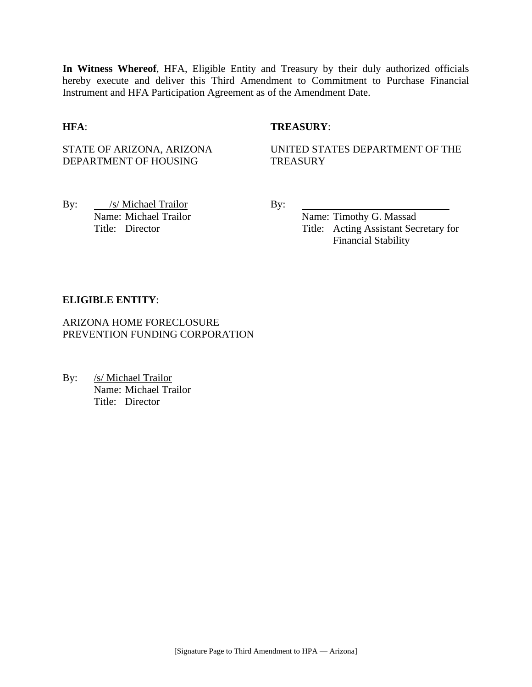**In Witness Whereof**, HFA, Eligible Entity and Treasury by their duly authorized officials hereby execute and deliver this Third Amendment to Commitment to Purchase Financial Instrument and HFA Participation Agreement as of the Amendment Date.

#### **HFA**: **TREASURY**:

STATE OF ARIZONA, ARIZONA DEPARTMENT OF HOUSING

UNITED STATES DEPARTMENT OF THE **TREASURY** 

By: <u>/s/ Michael Trailor</u> By: Name: Michael Trailor Name: Timothy G. Massad

Title: Director Title: Acting Assistant Secretary for Financial Stability

#### **ELIGIBLE ENTITY**:

ARIZONA HOME FORECLOSURE PREVENTION FUNDING CORPORATION

By: /s/ Michael Trailor Name: Michael Trailor Title: Director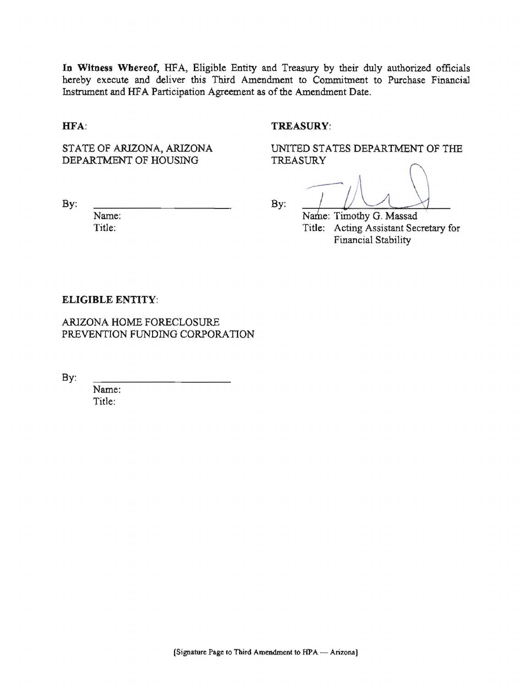In Witness Whereof, HFA, Eligible Entity and Treasury by their duly authorized officials hereby execute and deliver this Third Amendment to Commitment to Purchase Financial Instrument and HFA Participation Agreement as of the Amendment Date.

#### HFA:

#### **TREASURY:**

STATE OF ARIZONA, ARIZONA DEPARTMENT OF HOUSING

UNITED STATES DEPARTMENT OF THE **TREASURY** 

 $By:$ 

Name: Title:

By:

Name: Timothy G. Massad Title: Acting Assistant Secretary for Financial Stability

#### **ELIGIBLE ENTITY:**

ARIZONA HOME FORECLOSURE PREVENTION FUNDING CORPORATION

By:

Name: Title: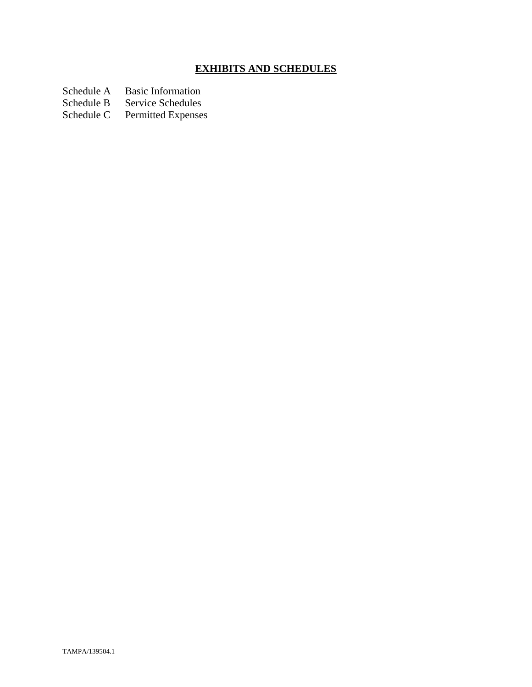# **EXHIBITS AND SCHEDULES**

Schedule A Basic Information<br>Schedule B Service Schedules

Schedule B Service Schedules<br>Schedule C Permitted Expenses

Permitted Expenses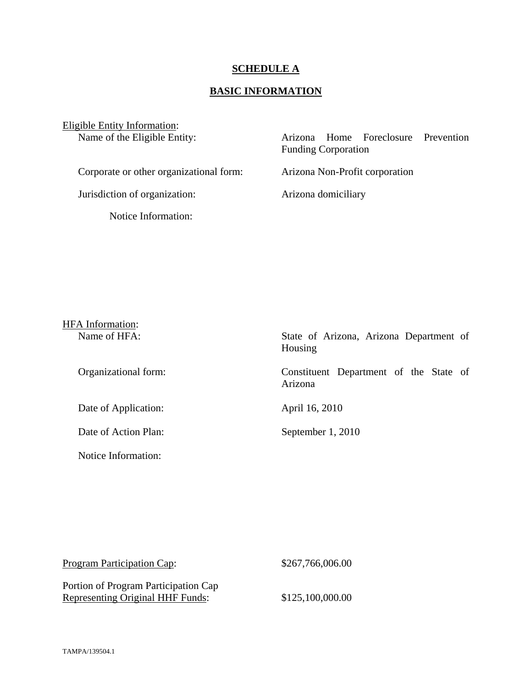#### **SCHEDULE A**

## **BASIC INFORMATION**

Eligible Entity Information:<br>Name of the Eligible Entity:

Arizona Home Foreclosure Prevention Funding Corporation Corporate or other organizational form: Arizona Non-Profit corporation

Jurisdiction of organization: Arizona domiciliary

Notice Information:

# HFA Information: Name of HFA: State of Arizona, Arizona Department of Housing Organizational form: Constituent Department of the State of Arizona Date of Application: April 16, 2010 Date of Action Plan: September 1, 2010 Notice Information:

| <b>Program Participation Cap:</b>                                               | \$267,766,006.00 |
|---------------------------------------------------------------------------------|------------------|
| Portion of Program Participation Cap<br><b>Representing Original HHF Funds:</b> | \$125,100,000.00 |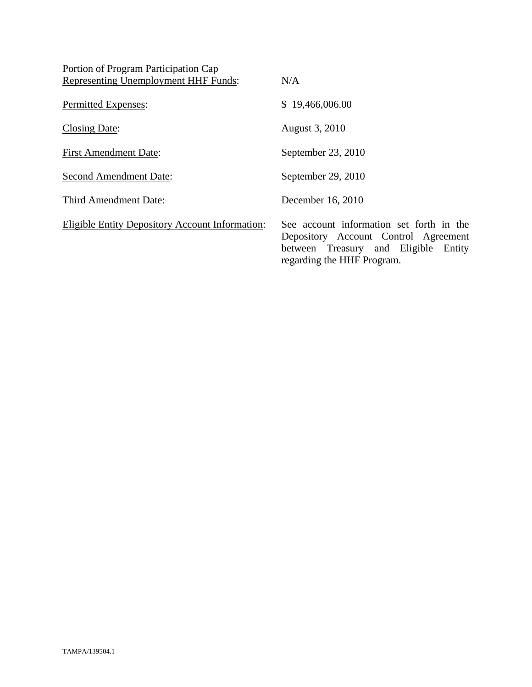| Portion of Program Participation Cap                   |                                                                                                                                                        |
|--------------------------------------------------------|--------------------------------------------------------------------------------------------------------------------------------------------------------|
| <b>Representing Unemployment HHF Funds:</b>            | N/A                                                                                                                                                    |
| Permitted Expenses:                                    | \$19,466,006.00                                                                                                                                        |
| Closing Date:                                          | August 3, 2010                                                                                                                                         |
| <b>First Amendment Date:</b>                           | September 23, 2010                                                                                                                                     |
| <b>Second Amendment Date:</b>                          | September 29, 2010                                                                                                                                     |
| Third Amendment Date:                                  | December 16, 2010                                                                                                                                      |
| <b>Eligible Entity Depository Account Information:</b> | See account information set forth in the<br>Depository Account Control Agreement<br>between Treasury and Eligible Entity<br>regarding the HHF Program. |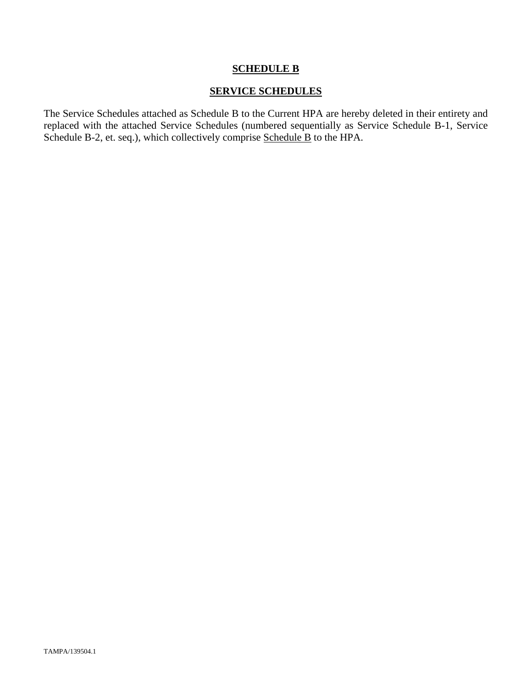#### **SCHEDULE B**

#### **SERVICE SCHEDULES**

The Service Schedules attached as Schedule B to the Current HPA are hereby deleted in their entirety and replaced with the attached Service Schedules (numbered sequentially as Service Schedule B-1, Service Schedule B-2, et. seq.), which collectively comprise Schedule B to the HPA.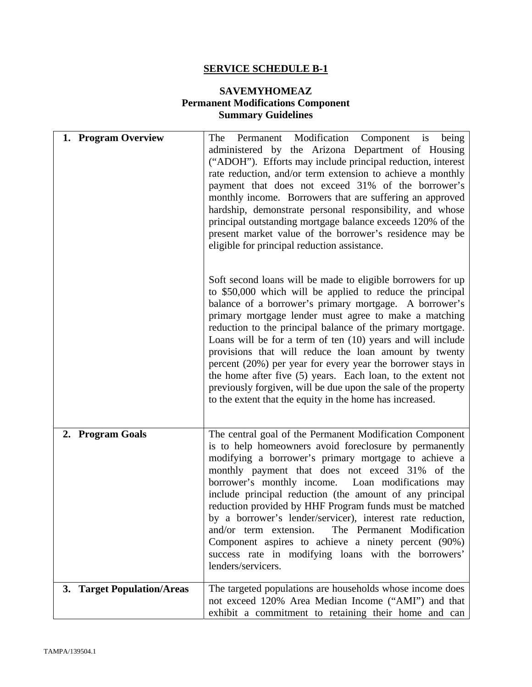# **SERVICE SCHEDULE B-1**

# **SAVEMYHOMEAZ Permanent Modifications Component Summary Guidelines**

| 1. Program Overview        | The Permanent Modification Component is being<br>administered by the Arizona Department of Housing<br>("ADOH"). Efforts may include principal reduction, interest<br>rate reduction, and/or term extension to achieve a monthly<br>payment that does not exceed 31% of the borrower's<br>monthly income. Borrowers that are suffering an approved<br>hardship, demonstrate personal responsibility, and whose<br>principal outstanding mortgage balance exceeds 120% of the<br>present market value of the borrower's residence may be<br>eligible for principal reduction assistance.                                                                                                              |
|----------------------------|-----------------------------------------------------------------------------------------------------------------------------------------------------------------------------------------------------------------------------------------------------------------------------------------------------------------------------------------------------------------------------------------------------------------------------------------------------------------------------------------------------------------------------------------------------------------------------------------------------------------------------------------------------------------------------------------------------|
|                            | Soft second loans will be made to eligible borrowers for up<br>to \$50,000 which will be applied to reduce the principal<br>balance of a borrower's primary mortgage. A borrower's<br>primary mortgage lender must agree to make a matching<br>reduction to the principal balance of the primary mortgage.<br>Loans will be for a term of ten (10) years and will include<br>provisions that will reduce the loan amount by twenty<br>percent $(20\%)$ per year for every year the borrower stays in<br>the home after five $(5)$ years. Each loan, to the extent not<br>previously forgiven, will be due upon the sale of the property<br>to the extent that the equity in the home has increased. |
| 2. Program Goals           | The central goal of the Permanent Modification Component<br>is to help homeowners avoid foreclosure by permanently<br>modifying a borrower's primary mortgage to achieve a<br>monthly payment that does not exceed 31% of the<br>borrower's monthly income. Loan modifications may<br>include principal reduction (the amount of any principal<br>reduction provided by HHF Program funds must be matched<br>by a borrower's lender/servicer), interest rate reduction,<br>The Permanent Modification<br>and/or term extension.<br>Component aspires to achieve a ninety percent (90%)<br>success rate in modifying loans with the borrowers'<br>lenders/servicers.                                 |
| 3. Target Population/Areas | The targeted populations are households whose income does<br>not exceed 120% Area Median Income ("AMI") and that<br>exhibit a commitment to retaining their home and can                                                                                                                                                                                                                                                                                                                                                                                                                                                                                                                            |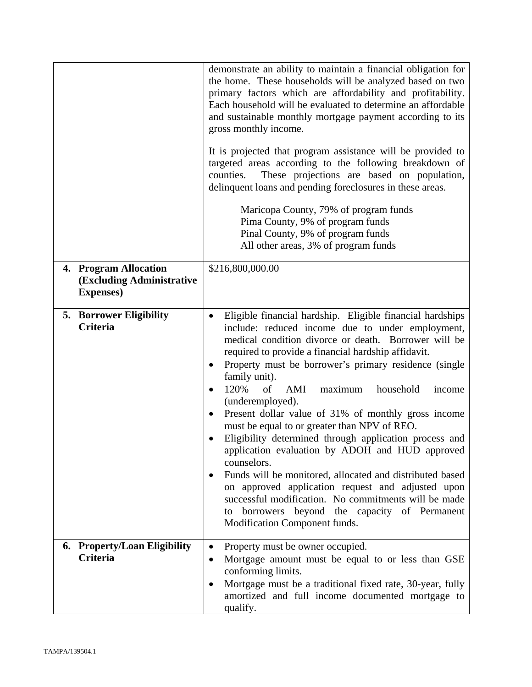|                                                                         | demonstrate an ability to maintain a financial obligation for<br>the home. These households will be analyzed based on two<br>primary factors which are affordability and profitability.<br>Each household will be evaluated to determine an affordable<br>and sustainable monthly mortgage payment according to its<br>gross monthly income.<br>It is projected that program assistance will be provided to<br>targeted areas according to the following breakdown of<br>counties.<br>These projections are based on population,<br>delinquent loans and pending foreclosures in these areas.<br>Maricopa County, 79% of program funds<br>Pima County, 9% of program funds<br>Pinal County, 9% of program funds<br>All other areas, 3% of program funds                                                                                                                                                                                  |
|-------------------------------------------------------------------------|------------------------------------------------------------------------------------------------------------------------------------------------------------------------------------------------------------------------------------------------------------------------------------------------------------------------------------------------------------------------------------------------------------------------------------------------------------------------------------------------------------------------------------------------------------------------------------------------------------------------------------------------------------------------------------------------------------------------------------------------------------------------------------------------------------------------------------------------------------------------------------------------------------------------------------------|
| 4. Program Allocation<br>(Excluding Administrative<br><b>Expenses</b> ) | \$216,800,000.00                                                                                                                                                                                                                                                                                                                                                                                                                                                                                                                                                                                                                                                                                                                                                                                                                                                                                                                         |
| <b>5. Borrower Eligibility</b><br><b>Criteria</b>                       | Eligible financial hardship. Eligible financial hardships<br>$\bullet$<br>include: reduced income due to under employment,<br>medical condition divorce or death. Borrower will be<br>required to provide a financial hardship affidavit.<br>Property must be borrower's primary residence (single<br>$\bullet$<br>family unit).<br>120%<br>of<br>AMI<br>household<br>maximum<br>income<br>$\bullet$<br>(underemployed).<br>Present dollar value of 31% of monthly gross income<br>$\bullet$<br>must be equal to or greater than NPV of REO.<br>Eligibility determined through application process and<br>application evaluation by ADOH and HUD approved<br>counselors.<br>Funds will be monitored, allocated and distributed based<br>٠<br>on approved application request and adjusted upon<br>successful modification. No commitments will be made<br>to borrowers beyond the capacity of Permanent<br>Modification Component funds. |
| 6. Property/Loan Eligibility<br><b>Criteria</b>                         | Property must be owner occupied.<br>$\bullet$<br>Mortgage amount must be equal to or less than GSE<br>$\bullet$<br>conforming limits.<br>Mortgage must be a traditional fixed rate, 30-year, fully<br>$\bullet$<br>amortized and full income documented mortgage to<br>qualify.                                                                                                                                                                                                                                                                                                                                                                                                                                                                                                                                                                                                                                                          |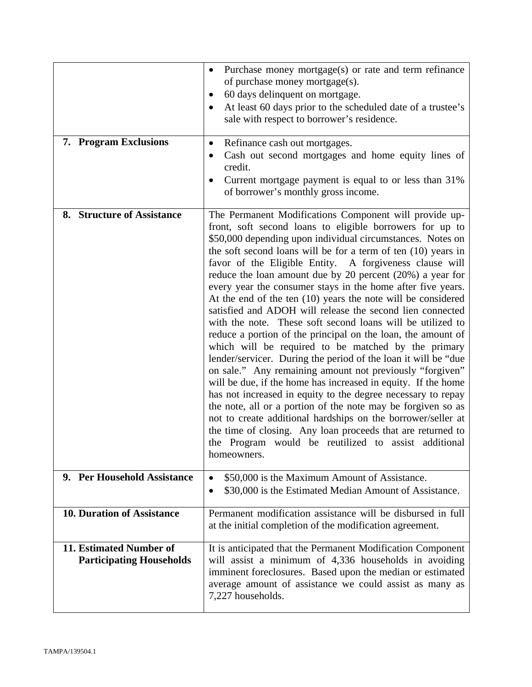| 7. Program Exclusions                                      | Purchase money mortgage(s) or rate and term refinance<br>$\bullet$<br>of purchase money mortgage(s).<br>60 days delinquent on mortgage.<br>٠<br>At least 60 days prior to the scheduled date of a trustee's<br>sale with respect to borrower's residence.<br>Refinance cash out mortgages.<br>$\bullet$<br>Cash out second mortgages and home equity lines of<br>٠<br>credit.<br>Current mortgage payment is equal to or less than 31%<br>of borrower's monthly gross income.                                                                                                                                                                                                                                                                                                                                                                                                                                                                                                                                                                                                                                                                                                                                                                                                                          |
|------------------------------------------------------------|--------------------------------------------------------------------------------------------------------------------------------------------------------------------------------------------------------------------------------------------------------------------------------------------------------------------------------------------------------------------------------------------------------------------------------------------------------------------------------------------------------------------------------------------------------------------------------------------------------------------------------------------------------------------------------------------------------------------------------------------------------------------------------------------------------------------------------------------------------------------------------------------------------------------------------------------------------------------------------------------------------------------------------------------------------------------------------------------------------------------------------------------------------------------------------------------------------------------------------------------------------------------------------------------------------|
| 8. Structure of Assistance                                 | The Permanent Modifications Component will provide up-<br>front, soft second loans to eligible borrowers for up to<br>\$50,000 depending upon individual circumstances. Notes on<br>the soft second loans will be for a term of ten $(10)$ years in<br>favor of the Eligible Entity. A forgiveness clause will<br>reduce the loan amount due by 20 percent $(20\%)$ a year for<br>every year the consumer stays in the home after five years.<br>At the end of the ten $(10)$ years the note will be considered<br>satisfied and ADOH will release the second lien connected<br>with the note. These soft second loans will be utilized to<br>reduce a portion of the principal on the loan, the amount of<br>which will be required to be matched by the primary<br>lender/servicer. During the period of the loan it will be "due<br>on sale." Any remaining amount not previously "forgiven"<br>will be due, if the home has increased in equity. If the home<br>has not increased in equity to the degree necessary to repay<br>the note, all or a portion of the note may be forgiven so as<br>not to create additional hardships on the borrower/seller at<br>the time of closing. Any loan proceeds that are returned to<br>the Program would be reutilized to assist additional<br>homeowners. |
| 9. Per Household Assistance                                | \$50,000 is the Maximum Amount of Assistance.<br>$\bullet$<br>\$30,000 is the Estimated Median Amount of Assistance.<br>$\bullet$                                                                                                                                                                                                                                                                                                                                                                                                                                                                                                                                                                                                                                                                                                                                                                                                                                                                                                                                                                                                                                                                                                                                                                      |
| <b>10. Duration of Assistance</b>                          | Permanent modification assistance will be disbursed in full<br>at the initial completion of the modification agreement.                                                                                                                                                                                                                                                                                                                                                                                                                                                                                                                                                                                                                                                                                                                                                                                                                                                                                                                                                                                                                                                                                                                                                                                |
| 11. Estimated Number of<br><b>Participating Households</b> | It is anticipated that the Permanent Modification Component<br>will assist a minimum of 4,336 households in avoiding<br>imminent foreclosures. Based upon the median or estimated<br>average amount of assistance we could assist as many as<br>7,227 households.                                                                                                                                                                                                                                                                                                                                                                                                                                                                                                                                                                                                                                                                                                                                                                                                                                                                                                                                                                                                                                      |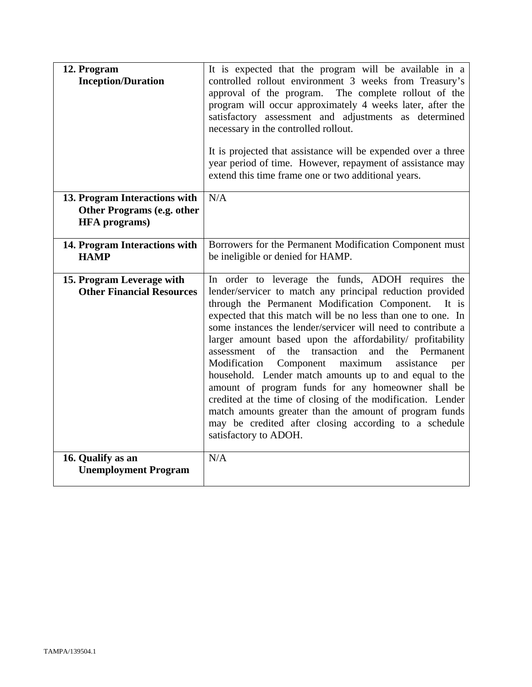| 12. Program<br><b>Inception/Duration</b>                                            | It is expected that the program will be available in a<br>controlled rollout environment 3 weeks from Treasury's<br>approval of the program. The complete rollout of the<br>program will occur approximately 4 weeks later, after the<br>satisfactory assessment and adjustments as determined<br>necessary in the controlled rollout.<br>It is projected that assistance will be expended over a three<br>year period of time. However, repayment of assistance may<br>extend this time frame one or two additional years.                                                                                                                                                                                                                                                                                                    |
|-------------------------------------------------------------------------------------|--------------------------------------------------------------------------------------------------------------------------------------------------------------------------------------------------------------------------------------------------------------------------------------------------------------------------------------------------------------------------------------------------------------------------------------------------------------------------------------------------------------------------------------------------------------------------------------------------------------------------------------------------------------------------------------------------------------------------------------------------------------------------------------------------------------------------------|
| 13. Program Interactions with<br>Other Programs (e.g. other<br><b>HFA</b> programs) | N/A                                                                                                                                                                                                                                                                                                                                                                                                                                                                                                                                                                                                                                                                                                                                                                                                                            |
| 14. Program Interactions with<br><b>HAMP</b>                                        | Borrowers for the Permanent Modification Component must<br>be ineligible or denied for HAMP.                                                                                                                                                                                                                                                                                                                                                                                                                                                                                                                                                                                                                                                                                                                                   |
| 15. Program Leverage with<br><b>Other Financial Resources</b>                       | In order to leverage the funds, ADOH requires the<br>lender/servicer to match any principal reduction provided<br>through the Permanent Modification Component. It is<br>expected that this match will be no less than one to one. In<br>some instances the lender/servicer will need to contribute a<br>larger amount based upon the affordability/ profitability<br>transaction and<br>the Permanent<br>$\sigma$ f<br>the<br>assessment<br>Modification<br>Component maximum<br>assistance<br>per<br>household. Lender match amounts up to and equal to the<br>amount of program funds for any homeowner shall be<br>credited at the time of closing of the modification. Lender<br>match amounts greater than the amount of program funds<br>may be credited after closing according to a schedule<br>satisfactory to ADOH. |
| 16. Qualify as an<br><b>Unemployment Program</b>                                    | N/A                                                                                                                                                                                                                                                                                                                                                                                                                                                                                                                                                                                                                                                                                                                                                                                                                            |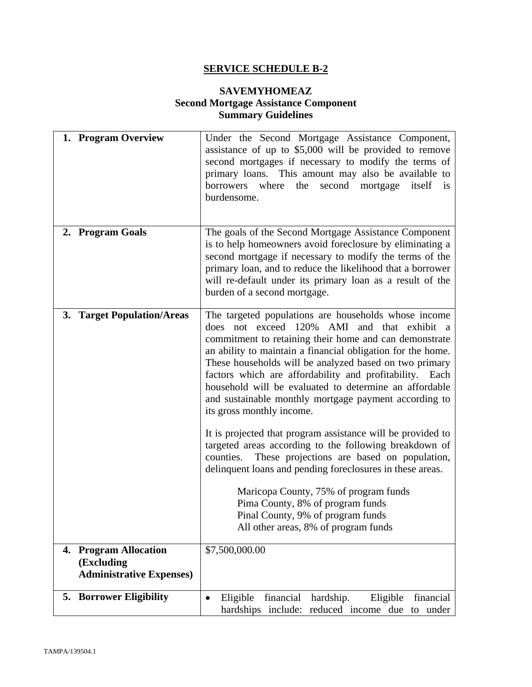# **SERVICE SCHEDULE B-2**

### **SAVEMYHOMEAZ Second Mortgage Assistance Component Summary Guidelines**

| 1. Program Overview                                                              | Under the Second Mortgage Assistance Component,<br>assistance of up to \$5,000 will be provided to remove<br>second mortgages if necessary to modify the terms of<br>primary loans. This amount may also be available to<br>second mortgage itself is<br>borrowers where the<br>burdensome.                                                                                                                                                                                                                                                                                                                                                                                                                                                                                                                                                                                                               |
|----------------------------------------------------------------------------------|-----------------------------------------------------------------------------------------------------------------------------------------------------------------------------------------------------------------------------------------------------------------------------------------------------------------------------------------------------------------------------------------------------------------------------------------------------------------------------------------------------------------------------------------------------------------------------------------------------------------------------------------------------------------------------------------------------------------------------------------------------------------------------------------------------------------------------------------------------------------------------------------------------------|
| 2. Program Goals                                                                 | The goals of the Second Mortgage Assistance Component<br>is to help homeowners avoid foreclosure by eliminating a<br>second mortgage if necessary to modify the terms of the<br>primary loan, and to reduce the likelihood that a borrower<br>will re-default under its primary loan as a result of the<br>burden of a second mortgage.                                                                                                                                                                                                                                                                                                                                                                                                                                                                                                                                                                   |
| 3. Target Population/Areas                                                       | The targeted populations are households whose income<br>does not exceed 120% AMI and that exhibit a<br>commitment to retaining their home and can demonstrate<br>an ability to maintain a financial obligation for the home.<br>These households will be analyzed based on two primary<br>factors which are affordability and profitability. Each<br>household will be evaluated to determine an affordable<br>and sustainable monthly mortgage payment according to<br>its gross monthly income.<br>It is projected that program assistance will be provided to<br>targeted areas according to the following breakdown of<br>counties. These projections are based on population,<br>delinquent loans and pending foreclosures in these areas.<br>Maricopa County, 75% of program funds<br>Pima County, 8% of program funds<br>Pinal County, 9% of program funds<br>All other areas, 8% of program funds |
| <b>Program Allocation</b><br>4.<br>(Excluding<br><b>Administrative Expenses)</b> | \$7,500,000.00                                                                                                                                                                                                                                                                                                                                                                                                                                                                                                                                                                                                                                                                                                                                                                                                                                                                                            |
| <b>5. Borrower Eligibility</b>                                                   | financial<br>hardship.<br>financial<br>Eligible<br>Eligible<br>$\bullet$<br>reduced income due to under<br>hardships include:                                                                                                                                                                                                                                                                                                                                                                                                                                                                                                                                                                                                                                                                                                                                                                             |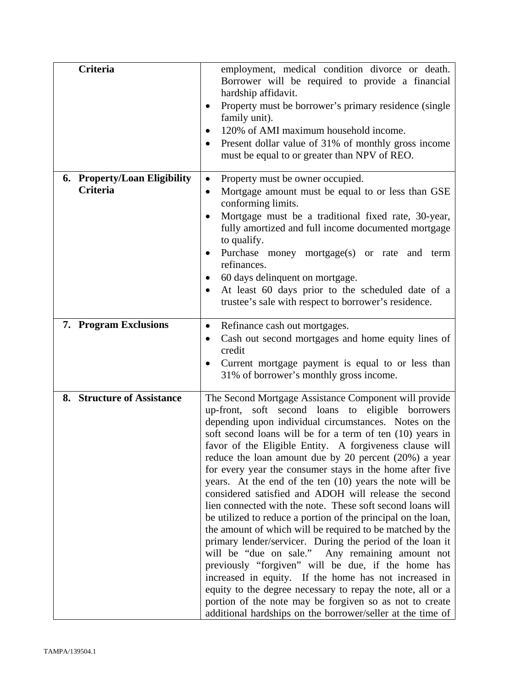| <b>Criteria</b>                                 | employment, medical condition divorce or death.<br>Borrower will be required to provide a financial<br>hardship affidavit.<br>Property must be borrower's primary residence (single<br>family unit).<br>120% of AMI maximum household income.<br>$\bullet$<br>Present dollar value of 31% of monthly gross income<br>must be equal to or greater than NPV of REO.                                                                                                                                                                                                                                                                                                                                                                                                                                                                                                                                                                                                                                                                                                                                                                                         |
|-------------------------------------------------|-----------------------------------------------------------------------------------------------------------------------------------------------------------------------------------------------------------------------------------------------------------------------------------------------------------------------------------------------------------------------------------------------------------------------------------------------------------------------------------------------------------------------------------------------------------------------------------------------------------------------------------------------------------------------------------------------------------------------------------------------------------------------------------------------------------------------------------------------------------------------------------------------------------------------------------------------------------------------------------------------------------------------------------------------------------------------------------------------------------------------------------------------------------|
| 6. Property/Loan Eligibility<br><b>Criteria</b> | Property must be owner occupied.<br>٠<br>Mortgage amount must be equal to or less than GSE<br>conforming limits.<br>Mortgage must be a traditional fixed rate, 30-year,<br>fully amortized and full income documented mortgage<br>to qualify.<br>Purchase money mortgage(s) or rate and term<br>refinances.<br>60 days delinquent on mortgage.<br>At least 60 days prior to the scheduled date of a<br>trustee's sale with respect to borrower's residence.                                                                                                                                                                                                                                                                                                                                                                                                                                                                                                                                                                                                                                                                                               |
| 7. Program Exclusions                           | Refinance cash out mortgages.<br>٠<br>Cash out second mortgages and home equity lines of<br>$\bullet$<br>credit<br>Current mortgage payment is equal to or less than<br>31% of borrower's monthly gross income.                                                                                                                                                                                                                                                                                                                                                                                                                                                                                                                                                                                                                                                                                                                                                                                                                                                                                                                                           |
| 8. Structure of Assistance                      | The Second Mortgage Assistance Component will provide<br>up-front, soft second loans to eligible borrowers<br>depending upon individual circumstances. Notes on the<br>soft second loans will be for a term of ten (10) years in<br>favor of the Eligible Entity. A forgiveness clause will<br>reduce the loan amount due by 20 percent (20%) a year<br>for every year the consumer stays in the home after five<br>years. At the end of the ten $(10)$ years the note will be<br>considered satisfied and ADOH will release the second<br>lien connected with the note. These soft second loans will<br>be utilized to reduce a portion of the principal on the loan,<br>the amount of which will be required to be matched by the<br>primary lender/servicer. During the period of the loan it<br>will be "due on sale." Any remaining amount not<br>previously "forgiven" will be due, if the home has<br>increased in equity. If the home has not increased in<br>equity to the degree necessary to repay the note, all or a<br>portion of the note may be forgiven so as not to create<br>additional hardships on the borrower/seller at the time of |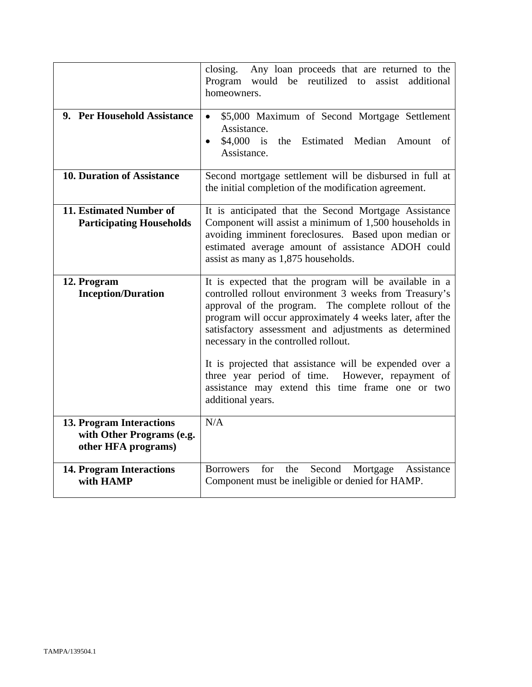|                                                                              | Any loan proceeds that are returned to the<br>closing.<br>would be reutilized to assist<br>Program<br>additional<br>homeowners.                                                                                                                                                                                                        |
|------------------------------------------------------------------------------|----------------------------------------------------------------------------------------------------------------------------------------------------------------------------------------------------------------------------------------------------------------------------------------------------------------------------------------|
| 9. Per Household Assistance                                                  | \$5,000 Maximum of Second Mortgage Settlement<br>$\bullet$<br>Assistance.<br>$$4,000$ is<br>the Estimated Median Amount<br>- of<br>$\bullet$<br>Assistance.                                                                                                                                                                            |
| <b>10. Duration of Assistance</b>                                            | Second mortgage settlement will be disbursed in full at<br>the initial completion of the modification agreement.                                                                                                                                                                                                                       |
| 11. Estimated Number of<br><b>Participating Households</b>                   | It is anticipated that the Second Mortgage Assistance<br>Component will assist a minimum of 1,500 households in<br>avoiding imminent foreclosures. Based upon median or<br>estimated average amount of assistance ADOH could<br>assist as many as 1,875 households.                                                                    |
| 12. Program<br><b>Inception/Duration</b>                                     | It is expected that the program will be available in a<br>controlled rollout environment 3 weeks from Treasury's<br>approval of the program. The complete rollout of the<br>program will occur approximately 4 weeks later, after the<br>satisfactory assessment and adjustments as determined<br>necessary in the controlled rollout. |
|                                                                              | It is projected that assistance will be expended over a<br>three year period of time.<br>However, repayment of<br>assistance may extend this time frame one or two<br>additional years.                                                                                                                                                |
| 13. Program Interactions<br>with Other Programs (e.g.<br>other HFA programs) | N/A                                                                                                                                                                                                                                                                                                                                    |
| <b>14. Program Interactions</b><br>with HAMP                                 | for<br>the<br>Second<br>Mortgage Assistance<br><b>Borrowers</b><br>Component must be ineligible or denied for HAMP.                                                                                                                                                                                                                    |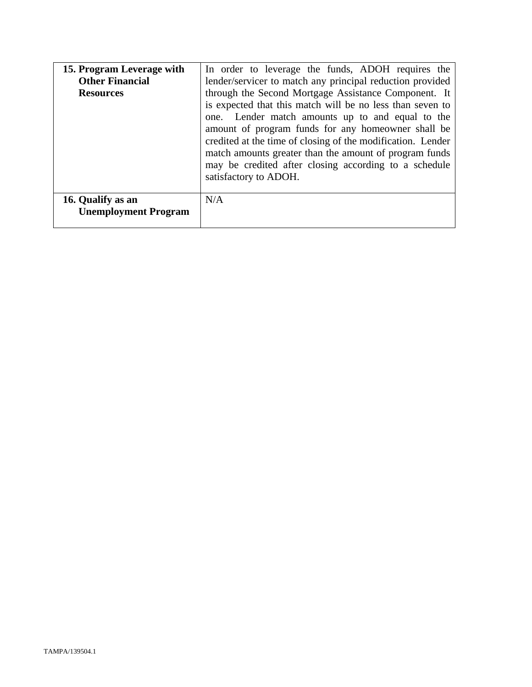| 15. Program Leverage with<br><b>Other Financial</b><br><b>Resources</b> | In order to leverage the funds, ADOH requires the<br>lender/servicer to match any principal reduction provided<br>through the Second Mortgage Assistance Component. It<br>is expected that this match will be no less than seven to<br>one. Lender match amounts up to and equal to the<br>amount of program funds for any homeowner shall be<br>credited at the time of closing of the modification. Lender<br>match amounts greater than the amount of program funds<br>may be credited after closing according to a schedule<br>satisfactory to ADOH. |
|-------------------------------------------------------------------------|----------------------------------------------------------------------------------------------------------------------------------------------------------------------------------------------------------------------------------------------------------------------------------------------------------------------------------------------------------------------------------------------------------------------------------------------------------------------------------------------------------------------------------------------------------|
| 16. Qualify as an<br><b>Unemployment Program</b>                        | N/A                                                                                                                                                                                                                                                                                                                                                                                                                                                                                                                                                      |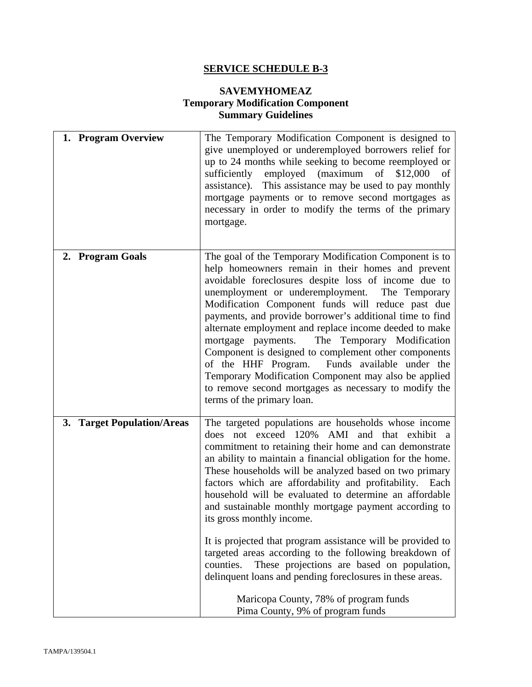# **SERVICE SCHEDULE B-3**

### **SAVEMYHOMEAZ Temporary Modification Component Summary Guidelines**

| 1. Program Overview        | The Temporary Modification Component is designed to<br>give unemployed or underemployed borrowers relief for<br>up to 24 months while seeking to become reemployed or<br>sufficiently employed (maximum<br>of<br>\$12,000<br>οf<br>This assistance may be used to pay monthly<br>assistance).<br>mortgage payments or to remove second mortgages as<br>necessary in order to modify the terms of the primary<br>mortgage.                                                                                                                                                                                                                                                                                                                                                                                                                   |
|----------------------------|---------------------------------------------------------------------------------------------------------------------------------------------------------------------------------------------------------------------------------------------------------------------------------------------------------------------------------------------------------------------------------------------------------------------------------------------------------------------------------------------------------------------------------------------------------------------------------------------------------------------------------------------------------------------------------------------------------------------------------------------------------------------------------------------------------------------------------------------|
| 2. Program Goals           | The goal of the Temporary Modification Component is to<br>help homeowners remain in their homes and prevent<br>avoidable foreclosures despite loss of income due to<br>unemployment or underemployment. The Temporary<br>Modification Component funds will reduce past due<br>payments, and provide borrower's additional time to find<br>alternate employment and replace income deeded to make<br>The Temporary Modification<br>mortgage payments.<br>Component is designed to complement other components<br>of the HHF Program. Funds available under the<br>Temporary Modification Component may also be applied<br>to remove second mortgages as necessary to modify the<br>terms of the primary loan.                                                                                                                                |
| 3. Target Population/Areas | The targeted populations are households whose income<br>AMI<br>not exceed 120%<br>and that exhibit a<br>does<br>commitment to retaining their home and can demonstrate<br>an ability to maintain a financial obligation for the home.<br>These households will be analyzed based on two primary<br>factors which are affordability and profitability.<br>Each<br>household will be evaluated to determine an affordable<br>and sustainable monthly mortgage payment according to<br>its gross monthly income.<br>It is projected that program assistance will be provided to<br>targeted areas according to the following breakdown of<br>counties.<br>These projections are based on population,<br>delinquent loans and pending foreclosures in these areas.<br>Maricopa County, 78% of program funds<br>Pima County, 9% of program funds |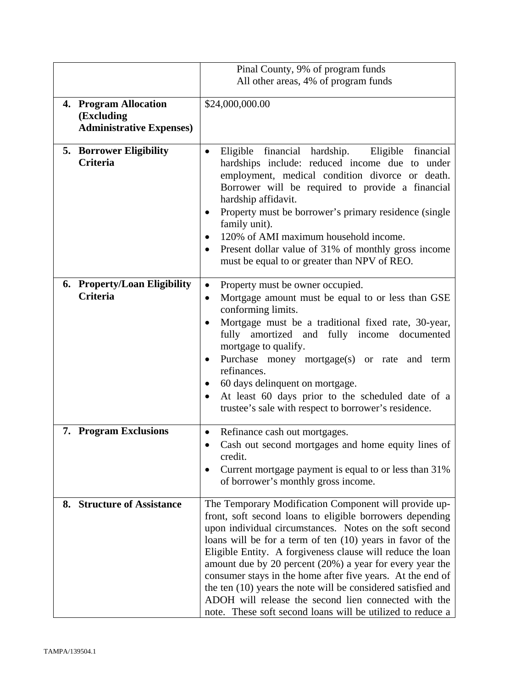|    |                                                                        | Pinal County, 9% of program funds                                                                                                                                                                                                                                                                                                                                                                                                                                                                                                                                                                                        |
|----|------------------------------------------------------------------------|--------------------------------------------------------------------------------------------------------------------------------------------------------------------------------------------------------------------------------------------------------------------------------------------------------------------------------------------------------------------------------------------------------------------------------------------------------------------------------------------------------------------------------------------------------------------------------------------------------------------------|
|    |                                                                        | All other areas, 4% of program funds                                                                                                                                                                                                                                                                                                                                                                                                                                                                                                                                                                                     |
|    | 4. Program Allocation<br>(Excluding<br><b>Administrative Expenses)</b> | \$24,000,000.00                                                                                                                                                                                                                                                                                                                                                                                                                                                                                                                                                                                                          |
|    | <b>5. Borrower Eligibility</b><br><b>Criteria</b>                      | Eligible financial hardship.<br>Eligible financial<br>$\bullet$<br>hardships include: reduced income due to under<br>employment, medical condition divorce or death.<br>Borrower will be required to provide a financial<br>hardship affidavit.<br>Property must be borrower's primary residence (single<br>family unit).<br>120% of AMI maximum household income.<br>Present dollar value of 31% of monthly gross income<br>٠<br>must be equal to or greater than NPV of REO.                                                                                                                                           |
|    | 6. Property/Loan Eligibility<br><b>Criteria</b>                        | Property must be owner occupied.<br>$\bullet$<br>Mortgage amount must be equal to or less than GSE<br>$\bullet$<br>conforming limits.<br>Mortgage must be a traditional fixed rate, 30-year,<br>fully amortized and fully income documented<br>mortgage to qualify.<br>Purchase money mortgage(s) or rate and term<br>refinances.<br>60 days delinquent on mortgage.<br>At least 60 days prior to the scheduled date of a<br>$\bullet$<br>trustee's sale with respect to borrower's residence.                                                                                                                           |
|    | 7. Program Exclusions                                                  | Refinance cash out mortgages.<br>$\bullet$<br>Cash out second mortgages and home equity lines of<br>$\bullet$<br>credit.<br>Current mortgage payment is equal to or less than 31%<br>$\bullet$<br>of borrower's monthly gross income.                                                                                                                                                                                                                                                                                                                                                                                    |
| 8. | <b>Structure of Assistance</b>                                         | The Temporary Modification Component will provide up-<br>front, soft second loans to eligible borrowers depending<br>upon individual circumstances. Notes on the soft second<br>loans will be for a term of ten (10) years in favor of the<br>Eligible Entity. A forgiveness clause will reduce the loan<br>amount due by 20 percent (20%) a year for every year the<br>consumer stays in the home after five years. At the end of<br>the ten (10) years the note will be considered satisfied and<br>ADOH will release the second lien connected with the<br>note. These soft second loans will be utilized to reduce a |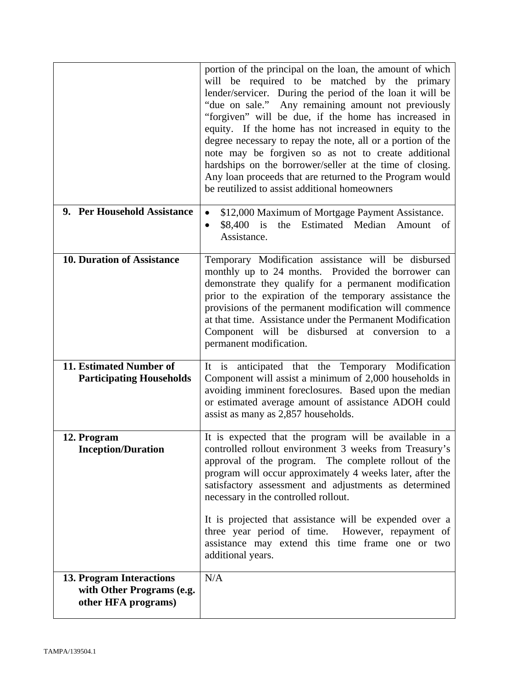|                                                                              | portion of the principal on the loan, the amount of which<br>will be required to be matched by the primary<br>lender/servicer. During the period of the loan it will be<br>"due on sale." Any remaining amount not previously<br>"forgiven" will be due, if the home has increased in<br>equity. If the home has not increased in equity to the<br>degree necessary to repay the note, all or a portion of the<br>note may be forgiven so as not to create additional<br>hardships on the borrower/seller at the time of closing.<br>Any loan proceeds that are returned to the Program would<br>be reutilized to assist additional homeowners |  |
|------------------------------------------------------------------------------|------------------------------------------------------------------------------------------------------------------------------------------------------------------------------------------------------------------------------------------------------------------------------------------------------------------------------------------------------------------------------------------------------------------------------------------------------------------------------------------------------------------------------------------------------------------------------------------------------------------------------------------------|--|
| 9. Per Household Assistance                                                  | \$12,000 Maximum of Mortgage Payment Assistance.<br>the Estimated Median Amount of<br>\$8,400 is<br>$\bullet$<br>Assistance.                                                                                                                                                                                                                                                                                                                                                                                                                                                                                                                   |  |
| <b>10. Duration of Assistance</b>                                            | Temporary Modification assistance will be disbursed<br>monthly up to 24 months. Provided the borrower can<br>demonstrate they qualify for a permanent modification<br>prior to the expiration of the temporary assistance the<br>provisions of the permanent modification will commence<br>at that time. Assistance under the Permanent Modification<br>Component will be disbursed at conversion to a<br>permanent modification.                                                                                                                                                                                                              |  |
| 11. Estimated Number of<br><b>Participating Households</b>                   | It is anticipated that the Temporary Modification<br>Component will assist a minimum of 2,000 households in<br>avoiding imminent foreclosures. Based upon the median<br>or estimated average amount of assistance ADOH could<br>assist as many as 2,857 households.                                                                                                                                                                                                                                                                                                                                                                            |  |
| 12. Program<br><b>Inception/Duration</b>                                     | It is expected that the program will be available in a<br>controlled rollout environment 3 weeks from Treasury's<br>approval of the program. The complete rollout of the<br>program will occur approximately 4 weeks later, after the<br>satisfactory assessment and adjustments as determined<br>necessary in the controlled rollout.<br>It is projected that assistance will be expended over a<br>three year period of time. However, repayment of<br>assistance may extend this time frame one or two<br>additional years.                                                                                                                 |  |
| 13. Program Interactions<br>with Other Programs (e.g.<br>other HFA programs) | N/A                                                                                                                                                                                                                                                                                                                                                                                                                                                                                                                                                                                                                                            |  |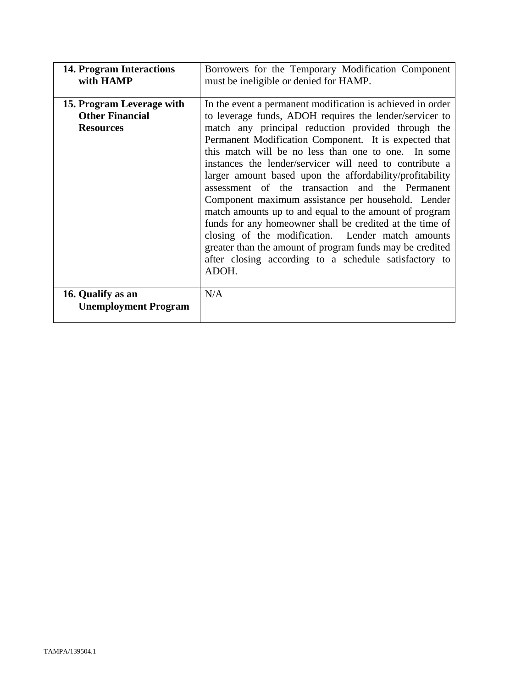| <b>14. Program Interactions</b><br>with HAMP                            | Borrowers for the Temporary Modification Component<br>must be ineligible or denied for HAMP.                                                                                                                                                                                                                                                                                                                                                                                                                                                                                                                                                                                                                                                                                                                                         |  |
|-------------------------------------------------------------------------|--------------------------------------------------------------------------------------------------------------------------------------------------------------------------------------------------------------------------------------------------------------------------------------------------------------------------------------------------------------------------------------------------------------------------------------------------------------------------------------------------------------------------------------------------------------------------------------------------------------------------------------------------------------------------------------------------------------------------------------------------------------------------------------------------------------------------------------|--|
| 15. Program Leverage with<br><b>Other Financial</b><br><b>Resources</b> | In the event a permanent modification is achieved in order<br>to leverage funds, ADOH requires the lender/servicer to<br>match any principal reduction provided through the<br>Permanent Modification Component. It is expected that<br>this match will be no less than one to one. In some<br>instances the lender/servicer will need to contribute a<br>larger amount based upon the affordability/profitability<br>assessment of the transaction and the Permanent<br>Component maximum assistance per household. Lender<br>match amounts up to and equal to the amount of program<br>funds for any homeowner shall be credited at the time of<br>closing of the modification. Lender match amounts<br>greater than the amount of program funds may be credited<br>after closing according to a schedule satisfactory to<br>ADOH. |  |
| 16. Qualify as an<br><b>Unemployment Program</b>                        | N/A                                                                                                                                                                                                                                                                                                                                                                                                                                                                                                                                                                                                                                                                                                                                                                                                                                  |  |